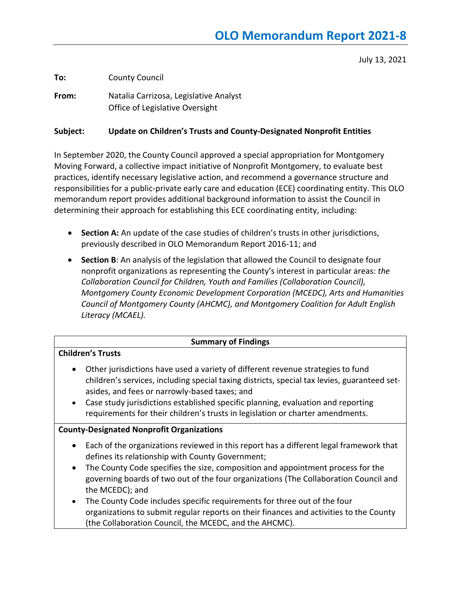July 13, 2021

**To:** County Council

**From:** Natalia Carrizosa, Legislative Analyst Office of Legislative Oversight

#### **Subject: Update on Children's Trusts and County-Designated Nonprofit Entities**

In September 2020, the County Council approved a special appropriation for Montgomery Moving Forward, a collective impact initiative of Nonprofit Montgomery, to evaluate best practices, identify necessary legislative action, and recommend a governance structure and responsibilities for a public-private early care and education (ECE) coordinating entity. This OLO memorandum report provides additional background information to assist the Council in determining their approach for establishing this ECE coordinating entity, including:

- **Section A:** An update of the case studies of children's trusts in other jurisdictions, previously described in OLO Memorandum Report 2016-11; and
- **Section B**: An analysis of the legislation that allowed the Council to designate four nonprofit organizations as representing the County's interest in particular areas: *the Collaboration Council for Children, Youth and Families (Collaboration Council), Montgomery County Economic Development Corporation (MCEDC), Arts and Humanities Council of Montgomery County (AHCMC), and Montgomery Coalition for Adult English Literacy (MCAEL).*

## **Summary of Findings**

## **Children's Trusts**

- Other jurisdictions have used a variety of different revenue strategies to fund children's services, including special taxing districts, special tax levies, guaranteed setasides, and fees or narrowly-based taxes; and
- Case study jurisdictions established specific planning, evaluation and reporting requirements for their children's trusts in legislation or charter amendments.

## **County-Designated Nonprofit Organizations**

- Each of the organizations reviewed in this report has a different legal framework that defines its relationship with County Government;
- The County Code specifies the size, composition and appointment process for the governing boards of two out of the four organizations (The Collaboration Council and the MCEDC); and
- The County Code includes specific requirements for three out of the four organizations to submit regular reports on their finances and activities to the County (the Collaboration Council, the MCEDC, and the AHCMC).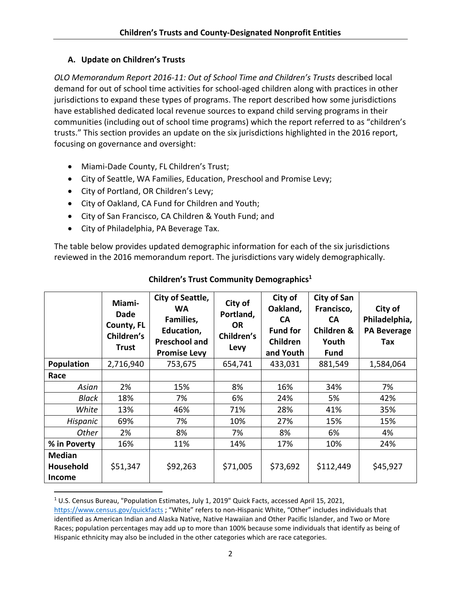# **A. Update on Children's Trusts**

*OLO Memorandum Report 2016-11: Out of School Time and Children's Trusts* described local demand for out of school time activities for school-aged children along with practices in other jurisdictions to expand these types of programs. The report described how some jurisdictions have established dedicated local revenue sources to expand child serving programs in their communities (including out of school time programs) which the report referred to as "children's trusts." This section provides an update on the six jurisdictions highlighted in the 2016 report, focusing on governance and oversight:

- Miami-Dade County, FL Children's Trust;
- City of Seattle, WA Families, Education, Preschool and Promise Levy;
- City of Portland, OR Children's Levy;
- City of Oakland, CA Fund for Children and Youth;
- City of San Francisco, CA Children & Youth Fund; and
- City of Philadelphia, PA Beverage Tax.

The table below provides updated demographic information for each of the six jurisdictions reviewed in the 2016 memorandum report. The jurisdictions vary widely demographically.

|                                                    | Miami-<br><b>Dade</b><br>County, FL<br>Children's<br><b>Trust</b> | City of Seattle,<br><b>WA</b><br>Families,<br>Education,<br><b>Preschool and</b><br><b>Promise Levy</b> | City of<br>Portland,<br>OR.<br>Children's<br>Levy | City of<br>Oakland,<br><b>CA</b><br><b>Fund for</b><br><b>Children</b><br>and Youth | <b>City of San</b><br>Francisco,<br><b>CA</b><br>Children &<br>Youth<br>Fund | City of<br>Philadelphia,<br><b>PA Beverage</b><br>Tax |
|----------------------------------------------------|-------------------------------------------------------------------|---------------------------------------------------------------------------------------------------------|---------------------------------------------------|-------------------------------------------------------------------------------------|------------------------------------------------------------------------------|-------------------------------------------------------|
| <b>Population</b>                                  | 2,716,940                                                         | 753,675                                                                                                 | 654,741                                           | 433,031                                                                             | 881,549                                                                      | 1,584,064                                             |
| Race                                               |                                                                   |                                                                                                         |                                                   |                                                                                     |                                                                              |                                                       |
| Asian                                              | 2%                                                                | 15%                                                                                                     | 8%                                                | 16%                                                                                 | 34%                                                                          | 7%                                                    |
| Black                                              | 18%                                                               | 7%                                                                                                      | 6%                                                | 24%                                                                                 | 5%                                                                           | 42%                                                   |
| White                                              | 13%                                                               | 46%                                                                                                     | 71%                                               | 28%                                                                                 | 41%                                                                          | 35%                                                   |
| Hispanic                                           | 69%                                                               | 7%                                                                                                      | 10%                                               | 27%                                                                                 | 15%                                                                          | 15%                                                   |
| <b>Other</b>                                       | 2%                                                                | 8%                                                                                                      | 7%                                                | 8%                                                                                  | 6%                                                                           | 4%                                                    |
| % in Poverty                                       | 16%                                                               | 11%                                                                                                     | 14%                                               | 17%                                                                                 | 10%                                                                          | 24%                                                   |
| <b>Median</b><br><b>Household</b><br><b>Income</b> | \$51,347                                                          | \$92,263                                                                                                | \$71,005                                          | \$73,692                                                                            | \$112,449                                                                    | \$45,927                                              |

# **Children's Trust Community Demographics<sup>1</sup>**

<sup>1</sup> U.S. Census Bureau, "Population Estimates, July 1, 2019" Quick Facts, accessed April 15, 2021,

<https://www.census.gov/quickfacts> ; "White" refers to non-Hispanic White, "Other" includes individuals that identified as American Indian and Alaska Native, Native Hawaiian and Other Pacific Islander, and Two or More Races; population percentages may add up to more than 100% because some individuals that identify as being of Hispanic ethnicity may also be included in the other categories which are race categories.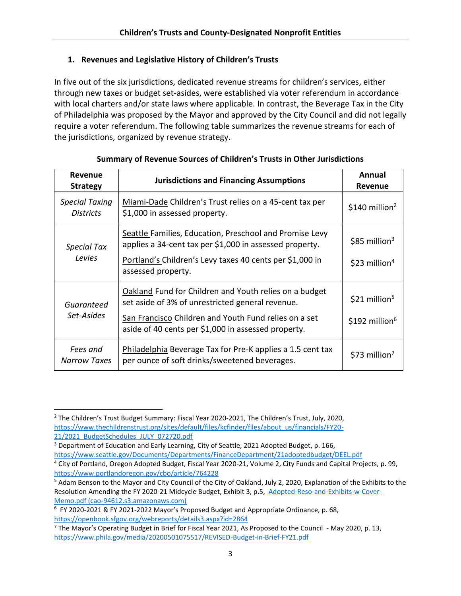# **1. Revenues and Legislative History of Children's Trusts**

In five out of the six jurisdictions, dedicated revenue streams for children's services, either through new taxes or budget set-asides, were established via voter referendum in accordance with local charters and/or state laws where applicable. In contrast, the Beverage Tax in the City of Philadelphia was proposed by the Mayor and approved by the City Council and did not legally require a voter referendum. The following table summarizes the revenue streams for each of the jurisdictions, organized by revenue strategy.

| <b>Revenue</b><br><b>Strategy</b>         | <b>Jurisdictions and Financing Assumptions</b>                                                                                                                                 | Annual<br>Revenue                                       |
|-------------------------------------------|--------------------------------------------------------------------------------------------------------------------------------------------------------------------------------|---------------------------------------------------------|
| <b>Special Taxing</b><br><b>Districts</b> | Miami-Dade Children's Trust relies on a 45-cent tax per<br>\$1,000 in assessed property.                                                                                       | $$140$ million <sup>2</sup>                             |
| Special Tax<br>Levies                     | Seattle Families, Education, Preschool and Promise Levy<br>applies a 34-cent tax per \$1,000 in assessed property.<br>Portland's Children's Levy taxes 40 cents per \$1,000 in | $$85$ million <sup>3</sup><br>\$23 million <sup>4</sup> |
|                                           | assessed property.                                                                                                                                                             |                                                         |
| Guaranteed                                | Oakland Fund for Children and Youth relies on a budget<br>set aside of 3% of unrestricted general revenue.                                                                     | $$21$ million <sup>5</sup>                              |
| Set-Asides                                | San Francisco Children and Youth Fund relies on a set<br>aside of 40 cents per \$1,000 in assessed property.                                                                   | \$192 million $6$                                       |
| Fees and<br><b>Narrow Taxes</b>           | Philadelphia Beverage Tax for Pre-K applies a 1.5 cent tax<br>per ounce of soft drinks/sweetened beverages.                                                                    | \$73 million <sup>7</sup>                               |

# **Summary of Revenue Sources of Children's Trusts in Other Jurisdictions**

<sup>&</sup>lt;sup>2</sup> The Children's Trust Budget Summary: Fiscal Year 2020-2021, The Children's Trust, July, 2020, [https://www.thechildrenstrust.org/sites/default/files/kcfinder/files/about\\_us/financials/FY20-](https://www.thechildrenstrust.org/sites/default/files/kcfinder/files/about_us/financials/FY20-21/2021_BudgetSchedules_JULY_072720.pdf) [21/2021\\_BudgetSchedules\\_JULY\\_072720.pdf](https://www.thechildrenstrust.org/sites/default/files/kcfinder/files/about_us/financials/FY20-21/2021_BudgetSchedules_JULY_072720.pdf)

<sup>&</sup>lt;sup>3</sup> Department of Education and Early Learning, City of Seattle, 2021 Adopted Budget, p. 166, <https://www.seattle.gov/Documents/Departments/FinanceDepartment/21adoptedbudget/DEEL.pdf>

<sup>4</sup> City of Portland, Oregon Adopted Budget, Fiscal Year 2020-21, Volume 2, City Funds and Capital Projects, p. 99, <https://www.portlandoregon.gov/cbo/article/764228>

<sup>5</sup> Adam Benson to the Mayor and City Council of the City of Oakland, July 2, 2020, Explanation of the Exhibits to the Resolution Amending the FY 2020-21 Midcycle Budget, Exhibit 3, p.5, [Adopted-Reso-and-Exhibits-w-Cover-](https://cao-94612.s3.amazonaws.com/documents/Adopted-Reso-and-Exhibits-w-Cover-Memo.pdf)[Memo.pdf \(cao-94612.s3.amazonaws.com\)](https://cao-94612.s3.amazonaws.com/documents/Adopted-Reso-and-Exhibits-w-Cover-Memo.pdf)

<sup>&</sup>lt;sup>6</sup> FY 2020-2021 & FY 2021-2022 Mayor's Proposed Budget and Appropriate Ordinance, p. 68, <https://openbook.sfgov.org/webreports/details3.aspx?id=2864>

 $^7$  The Mayor's Operating Budget in Brief for Fiscal Year 2021, As Proposed to the Council - May 2020, p. 13, <https://www.phila.gov/media/20200501075517/REVISED-Budget-in-Brief-FY21.pdf>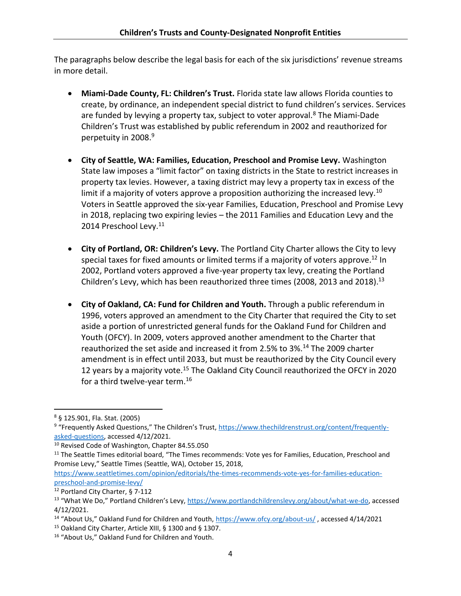The paragraphs below describe the legal basis for each of the six jurisdictions' revenue streams in more detail.

- **Miami-Dade County, FL: Children's Trust.** Florida state law allows Florida counties to create, by ordinance, an independent special district to fund children's services. Services are funded by levying a property tax, subject to voter approval.<sup>8</sup> The Miami-Dade Children's Trust was established by public referendum in 2002 and reauthorized for perpetuity in 2008.<sup>9</sup>
- **City of Seattle, WA: Families, Education, Preschool and Promise Levy.** Washington State law imposes a "limit factor" on taxing districts in the State to restrict increases in property tax levies. However, a taxing district may levy a property tax in excess of the limit if a majority of voters approve a proposition authorizing the increased levy.<sup>10</sup> Voters in Seattle approved the six-year Families, Education, Preschool and Promise Levy in 2018, replacing two expiring levies – the 2011 Families and Education Levy and the 2014 Preschool Levy.<sup>11</sup>
- **City of Portland, OR: Children's Levy.** The Portland City Charter allows the City to levy special taxes for fixed amounts or limited terms if a majority of voters approve.<sup>12</sup> In 2002, Portland voters approved a five-year property tax levy, creating the Portland Children's Levy, which has been reauthorized three times (2008, 2013 and 2018). $^{13}$
- **City of Oakland, CA: Fund for Children and Youth.** Through a public referendum in 1996, voters approved an amendment to the City Charter that required the City to set aside a portion of unrestricted general funds for the Oakland Fund for Children and Youth (OFCY). In 2009, voters approved another amendment to the Charter that reauthorized the set aside and increased it from 2.5% to 3%.<sup>14</sup> The 2009 charter amendment is in effect until 2033, but must be reauthorized by the City Council every 12 years by a majority vote.<sup>15</sup> The Oakland City Council reauthorized the OFCY in 2020 for a third twelve-year term.<sup>16</sup>

<sup>8</sup> § 125.901, Fla. Stat. (2005)

<sup>&</sup>lt;sup>9</sup> "Frequently Asked Questions," The Children's Trust, <u>https://www.thechildrenstrust.org/content/frequently-</u> [asked-questions,](https://www.thechildrenstrust.org/content/frequently-asked-questions) accessed 4/12/2021.

<sup>&</sup>lt;sup>10</sup> Revised Code of Washington, Chapter 84.55.050

<sup>&</sup>lt;sup>11</sup> The Seattle Times editorial board, "The Times recommends: Vote yes for Families, Education, Preschool and Promise Levy," Seattle Times (Seattle, WA), October 15, 2018,

[https://www.seattletimes.com/opinion/editorials/the-times-recommends-vote-yes-for-families-education](https://www.seattletimes.com/opinion/editorials/the-times-recommends-vote-yes-for-families-education-preschool-and-promise-levy/)[preschool-and-promise-levy/](https://www.seattletimes.com/opinion/editorials/the-times-recommends-vote-yes-for-families-education-preschool-and-promise-levy/)

<sup>12</sup> Portland City Charter, § 7-112

<sup>13</sup> "What We Do," Portland Children's Levy, [https://www.portlandchildrenslevy.org/about/what-we-do,](https://www.portlandchildrenslevy.org/about/what-we-do) accessed 4/12/2021.

<sup>&</sup>lt;sup>14</sup> "About Us," Oakland Fund for Children and Youth, <https://www.ofcy.org/about-us/>, accessed 4/14/2021

<sup>15</sup> Oakland City Charter, Article XIII, § 1300 and § 1307.

<sup>16</sup> "About Us," Oakland Fund for Children and Youth.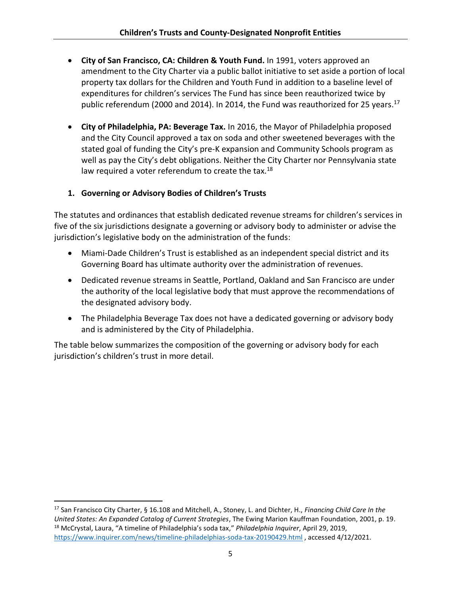- **City of San Francisco, CA: Children & Youth Fund.** In 1991, voters approved an amendment to the City Charter via a public ballot initiative to set aside a portion of local property tax dollars for the Children and Youth Fund in addition to a baseline level of expenditures for children's services The Fund has since been reauthorized twice by public referendum (2000 and 2014). In 2014, the Fund was reauthorized for 25 years.<sup>17</sup>
- **City of Philadelphia, PA: Beverage Tax.** In 2016, the Mayor of Philadelphia proposed and the City Council approved a tax on soda and other sweetened beverages with the stated goal of funding the City's pre-K expansion and Community Schools program as well as pay the City's debt obligations. Neither the City Charter nor Pennsylvania state law required a voter referendum to create the tax.<sup>18</sup>

# **1. Governing or Advisory Bodies of Children's Trusts**

The statutes and ordinances that establish dedicated revenue streams for children's services in five of the six jurisdictions designate a governing or advisory body to administer or advise the jurisdiction's legislative body on the administration of the funds:

- Miami-Dade Children's Trust is established as an independent special district and its Governing Board has ultimate authority over the administration of revenues.
- Dedicated revenue streams in Seattle, Portland, Oakland and San Francisco are under the authority of the local legislative body that must approve the recommendations of the designated advisory body.
- The Philadelphia Beverage Tax does not have a dedicated governing or advisory body and is administered by the City of Philadelphia.

The table below summarizes the composition of the governing or advisory body for each jurisdiction's children's trust in more detail.

<sup>17</sup> San Francisco City Charter, § 16.108 and Mitchell, A., Stoney, L. and Dichter, H., *Financing Child Care In the United States: An Expanded Catalog of Current Strategies*, The Ewing Marion Kauffman Foundation, 2001, p. 19. <sup>18</sup> McCrystal, Laura, "A timeline of Philadelphia's soda tax," *Philadelphia Inquirer*, April 29, 2019, <https://www.inquirer.com/news/timeline-philadelphias-soda-tax-20190429.html> , accessed 4/12/2021.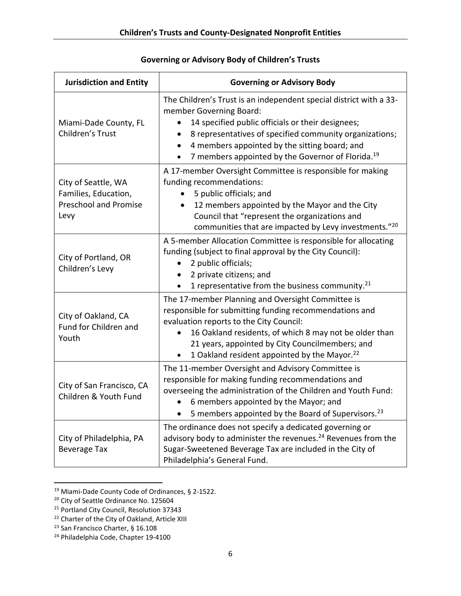| <b>Jurisdiction and Entity</b>                                                                                                                                                                                                                                                      | <b>Governing or Advisory Body</b>                                                                                                                                                                                                                                                                                                                         |  |  |
|-------------------------------------------------------------------------------------------------------------------------------------------------------------------------------------------------------------------------------------------------------------------------------------|-----------------------------------------------------------------------------------------------------------------------------------------------------------------------------------------------------------------------------------------------------------------------------------------------------------------------------------------------------------|--|--|
| Miami-Dade County, FL<br>Children's Trust                                                                                                                                                                                                                                           | The Children's Trust is an independent special district with a 33-<br>member Governing Board:<br>14 specified public officials or their designees;<br>8 representatives of specified community organizations;<br>$\bullet$<br>4 members appointed by the sitting board; and<br>7 members appointed by the Governor of Florida. <sup>19</sup><br>$\bullet$ |  |  |
| City of Seattle, WA<br>Families, Education,<br><b>Preschool and Promise</b><br>Levy                                                                                                                                                                                                 | A 17-member Oversight Committee is responsible for making<br>funding recommendations:<br>5 public officials; and<br>12 members appointed by the Mayor and the City<br>$\bullet$<br>Council that "represent the organizations and<br>communities that are impacted by Levy investments."20                                                                 |  |  |
| City of Portland, OR<br>Children's Levy                                                                                                                                                                                                                                             | A 5-member Allocation Committee is responsible for allocating<br>funding (subject to final approval by the City Council):<br>2 public officials;<br>2 private citizens; and<br>1 representative from the business community. <sup>21</sup>                                                                                                                |  |  |
| City of Oakland, CA<br>Fund for Children and<br>Youth                                                                                                                                                                                                                               | The 17-member Planning and Oversight Committee is<br>responsible for submitting funding recommendations and<br>evaluation reports to the City Council:<br>16 Oakland residents, of which 8 may not be older than<br>$\bullet$<br>21 years, appointed by City Councilmembers; and<br>1 Oakland resident appointed by the Mayor. <sup>22</sup>              |  |  |
| City of San Francisco, CA<br>Children & Youth Fund                                                                                                                                                                                                                                  | The 11-member Oversight and Advisory Committee is<br>responsible for making funding recommendations and<br>overseeing the administration of the Children and Youth Fund:<br>6 members appointed by the Mayor; and<br>5 members appointed by the Board of Supervisors. <sup>23</sup>                                                                       |  |  |
| The ordinance does not specify a dedicated governing or<br>advisory body to administer the revenues. <sup>24</sup> Revenues from the<br>City of Philadelphia, PA<br>Sugar-Sweetened Beverage Tax are included in the City of<br><b>Beverage Tax</b><br>Philadelphia's General Fund. |                                                                                                                                                                                                                                                                                                                                                           |  |  |

# **Governing or Advisory Body of Children's Trusts**

<sup>19</sup> Miami-Dade County Code of Ordinances, § 2-1522.

<sup>&</sup>lt;sup>20</sup> City of Seattle Ordinance No. 125604

<sup>&</sup>lt;sup>21</sup> Portland City Council, Resolution 37343

<sup>&</sup>lt;sup>22</sup> Charter of the City of Oakland, Article XIII

<sup>23</sup> San Francisco Charter, § 16.108

<sup>24</sup> Philadelphia Code, Chapter 19-4100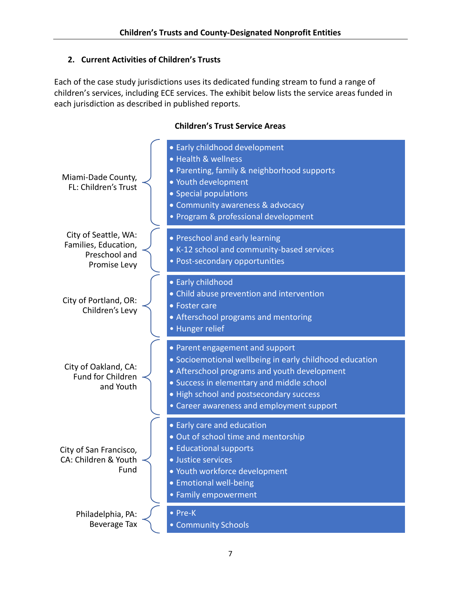# **2. Current Activities of Children's Trusts**

Each of the case study jurisdictions uses its dedicated funding stream to fund a range of children's services, including ECE services. The exhibit below lists the service areas funded in each jurisdiction as described in published reports.

#### Miami-Dade County, FL: Children's Trust • Early childhood development • Health & wellness • Parenting, family & neighborhood supports • Youth development • Special populations • Community awareness & advocacy • Program & professional development City of Seattle, WA: Families, Education, Preschool and Promise Levy • Preschool and early learning • K-12 school and community-based services • Post-secondary opportunities City of Portland, OR: Children's Levy • Early childhood • Child abuse prevention and intervention • Foster care • Afterschool programs and mentoring • Hunger relief City of Oakland, CA: Fund for Children and Youth • Parent engagement and support • Socioemotional wellbeing in early childhood education • Afterschool programs and youth development • Success in elementary and middle school • High school and postsecondary success • Career awareness and employment support City of San Francisco, CA: Children & Youth Fund • Early care and education • Out of school time and mentorship • Educational supports • Justice services • Youth workforce development • Emotional well-being • Family empowerment Philadelphia, PA: Beverage Tax • Pre-K • Community Schools

## **Children's Trust Service Areas**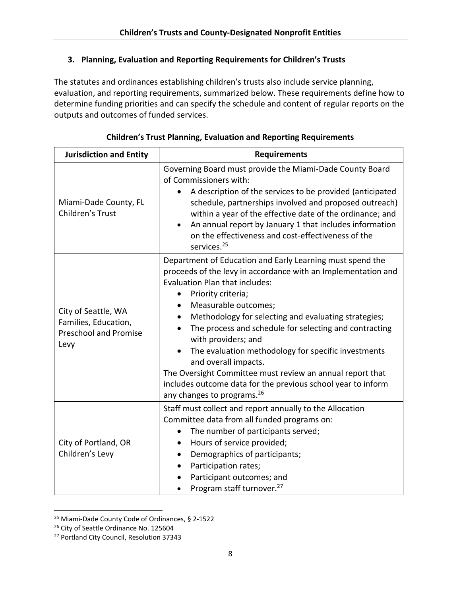## **3. Planning, Evaluation and Reporting Requirements for Children's Trusts**

The statutes and ordinances establishing children's trusts also include service planning, evaluation, and reporting requirements, summarized below. These requirements define how to determine funding priorities and can specify the schedule and content of regular reports on the outputs and outcomes of funded services.

| <b>Jurisdiction and Entity</b>                                                      | <b>Requirements</b>                                                                                                                                                                                                                                                                                                                                                                                                                                                                                                                                                                                       |  |  |  |
|-------------------------------------------------------------------------------------|-----------------------------------------------------------------------------------------------------------------------------------------------------------------------------------------------------------------------------------------------------------------------------------------------------------------------------------------------------------------------------------------------------------------------------------------------------------------------------------------------------------------------------------------------------------------------------------------------------------|--|--|--|
| Miami-Dade County, FL<br>Children's Trust                                           | Governing Board must provide the Miami-Dade County Board<br>of Commissioners with:<br>A description of the services to be provided (anticipated<br>schedule, partnerships involved and proposed outreach)<br>within a year of the effective date of the ordinance; and<br>An annual report by January 1 that includes information<br>on the effectiveness and cost-effectiveness of the<br>services. <sup>25</sup>                                                                                                                                                                                        |  |  |  |
| City of Seattle, WA<br>Families, Education,<br><b>Preschool and Promise</b><br>Levy | Department of Education and Early Learning must spend the<br>proceeds of the levy in accordance with an Implementation and<br>Evaluation Plan that includes:<br>Priority criteria;<br>Measurable outcomes;<br>Methodology for selecting and evaluating strategies;<br>The process and schedule for selecting and contracting<br>with providers; and<br>The evaluation methodology for specific investments<br>and overall impacts.<br>The Oversight Committee must review an annual report that<br>includes outcome data for the previous school year to inform<br>any changes to programs. <sup>26</sup> |  |  |  |
| City of Portland, OR<br>Children's Levy                                             | Staff must collect and report annually to the Allocation<br>Committee data from all funded programs on:<br>The number of participants served;<br>Hours of service provided;<br>Demographics of participants;<br>Participation rates;<br>Participant outcomes; and<br>Program staff turnover. <sup>27</sup>                                                                                                                                                                                                                                                                                                |  |  |  |

<sup>25</sup> Miami-Dade County Code of Ordinances, § 2-1522

<sup>&</sup>lt;sup>26</sup> City of Seattle Ordinance No. 125604

<sup>&</sup>lt;sup>27</sup> Portland City Council, Resolution 37343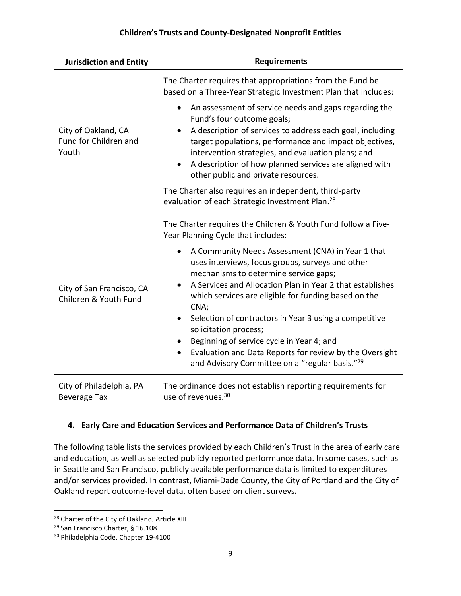| <b>Jurisdiction and Entity</b>                        | <b>Requirements</b>                                                                                                                                                                                                                                                                                                                                               |  |  |  |
|-------------------------------------------------------|-------------------------------------------------------------------------------------------------------------------------------------------------------------------------------------------------------------------------------------------------------------------------------------------------------------------------------------------------------------------|--|--|--|
|                                                       | The Charter requires that appropriations from the Fund be<br>based on a Three-Year Strategic Investment Plan that includes:                                                                                                                                                                                                                                       |  |  |  |
| City of Oakland, CA<br>Fund for Children and<br>Youth | An assessment of service needs and gaps regarding the<br>Fund's four outcome goals;<br>A description of services to address each goal, including<br>target populations, performance and impact objectives,<br>intervention strategies, and evaluation plans; and<br>A description of how planned services are aligned with<br>other public and private resources. |  |  |  |
|                                                       | The Charter also requires an independent, third-party<br>evaluation of each Strategic Investment Plan. <sup>28</sup>                                                                                                                                                                                                                                              |  |  |  |
|                                                       | The Charter requires the Children & Youth Fund follow a Five-<br>Year Planning Cycle that includes:                                                                                                                                                                                                                                                               |  |  |  |
| City of San Francisco, CA<br>Children & Youth Fund    | A Community Needs Assessment (CNA) in Year 1 that<br>uses interviews, focus groups, surveys and other<br>mechanisms to determine service gaps;<br>A Services and Allocation Plan in Year 2 that establishes<br>which services are eligible for funding based on the                                                                                               |  |  |  |
|                                                       | CNA;<br>Selection of contractors in Year 3 using a competitive<br>solicitation process;<br>Beginning of service cycle in Year 4; and                                                                                                                                                                                                                              |  |  |  |
|                                                       | Evaluation and Data Reports for review by the Oversight<br>and Advisory Committee on a "regular basis." <sup>29</sup>                                                                                                                                                                                                                                             |  |  |  |
| City of Philadelphia, PA<br><b>Beverage Tax</b>       | The ordinance does not establish reporting requirements for<br>use of revenues. <sup>30</sup>                                                                                                                                                                                                                                                                     |  |  |  |

# **4. Early Care and Education Services and Performance Data of Children's Trusts**

The following table lists the services provided by each Children's Trust in the area of early care and education, as well as selected publicly reported performance data. In some cases, such as in Seattle and San Francisco, publicly available performance data is limited to expenditures and/or services provided. In contrast, Miami-Dade County, the City of Portland and the City of Oakland report outcome-level data, often based on client surveys**.**

<sup>&</sup>lt;sup>28</sup> Charter of the City of Oakland, Article XIII

<sup>&</sup>lt;sup>29</sup> San Francisco Charter, § 16.108

<sup>30</sup> Philadelphia Code, Chapter 19-4100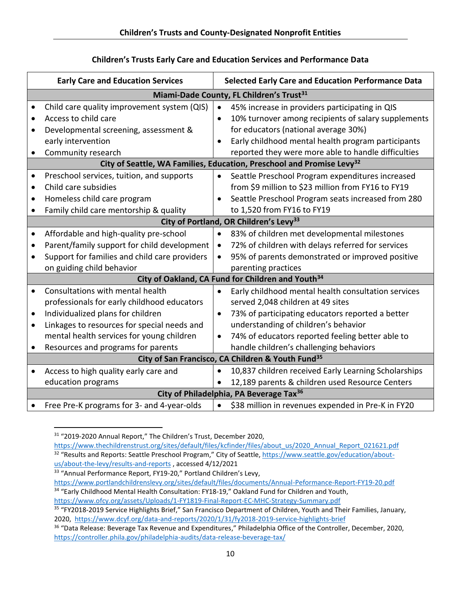## **Children's Trusts Early Care and Education Services and Performance Data**

|           | <b>Early Care and Education Services</b>                      |           | <b>Selected Early Care and Education Performance Data</b>                         |  |
|-----------|---------------------------------------------------------------|-----------|-----------------------------------------------------------------------------------|--|
|           | Miami-Dade County, FL Children's Trust <sup>31</sup>          |           |                                                                                   |  |
|           | Child care quality improvement system (QIS)                   | $\bullet$ | 45% increase in providers participating in QIS                                    |  |
|           | Access to child care                                          | $\bullet$ | 10% turnover among recipients of salary supplements                               |  |
|           | Developmental screening, assessment &                         |           | for educators (national average 30%)                                              |  |
|           | early intervention                                            |           | Early childhood mental health program participants                                |  |
|           | Community research                                            |           | reported they were more able to handle difficulties                               |  |
|           |                                                               |           | City of Seattle, WA Families, Education, Preschool and Promise Levy <sup>32</sup> |  |
| ٠         | Preschool services, tuition, and supports                     |           | Seattle Preschool Program expenditures increased                                  |  |
| $\bullet$ | Child care subsidies                                          |           | from \$9 million to \$23 million from FY16 to FY19                                |  |
| $\bullet$ | Homeless child care program                                   |           | Seattle Preschool Program seats increased from 280                                |  |
|           | Family child care mentorship & quality                        |           | to 1,520 from FY16 to FY19                                                        |  |
|           |                                                               |           | City of Portland, OR Children's Levy <sup>33</sup>                                |  |
| $\bullet$ | Affordable and high-quality pre-school                        | $\bullet$ | 83% of children met developmental milestones                                      |  |
| $\bullet$ | Parent/family support for child development                   |           | 72% of children with delays referred for services                                 |  |
|           | Support for families and child care providers                 |           | 95% of parents demonstrated or improved positive                                  |  |
|           | on guiding child behavior                                     |           | parenting practices                                                               |  |
|           | City of Oakland, CA Fund for Children and Youth <sup>34</sup> |           |                                                                                   |  |
| $\bullet$ | Consultations with mental health                              | $\bullet$ | Early childhood mental health consultation services                               |  |
|           | professionals for early childhood educators                   |           | served 2,048 children at 49 sites                                                 |  |
| ٠         | Individualized plans for children                             |           | 73% of participating educators reported a better                                  |  |
| $\bullet$ | Linkages to resources for special needs and                   |           | understanding of children's behavior                                              |  |
|           | mental health services for young children                     |           | 74% of educators reported feeling better able to                                  |  |
|           | Resources and programs for parents                            |           | handle children's challenging behaviors                                           |  |
|           | City of San Francisco, CA Children & Youth Fund <sup>35</sup> |           |                                                                                   |  |
| $\bullet$ | Access to high quality early care and                         | $\bullet$ | 10,837 children received Early Learning Scholarships                              |  |
|           | education programs                                            |           | 12,189 parents & children used Resource Centers                                   |  |
|           | City of Philadelphia, PA Beverage Tax <sup>36</sup>           |           |                                                                                   |  |
|           | Free Pre-K programs for 3- and 4-year-olds                    |           | \$38 million in revenues expended in Pre-K in FY20                                |  |

<sup>&</sup>lt;sup>31</sup> "2019-2020 Annual Report," The Children's Trust, December 2020,

[https://www.thechildrenstrust.org/sites/default/files/kcfinder/files/about\\_us/2020\\_Annual\\_Report\\_021621.pdf](https://www.thechildrenstrust.org/sites/default/files/kcfinder/files/about_us/2020_Annual_Report_021621.pdf) 32 "Results and Reports: Seattle Preschool Program," City of Seattle[, https://www.seattle.gov/education/about](https://www.seattle.gov/education/about-us/about-the-levy/results-and-reports)[us/about-the-levy/results-and-reports](https://www.seattle.gov/education/about-us/about-the-levy/results-and-reports) , accessed 4/12/2021

<sup>&</sup>lt;sup>33</sup> "Annual Performance Report, FY19-20," Portland Children's Levy,

<https://www.portlandchildrenslevy.org/sites/default/files/documents/Annual-Peformance-Report-FY19-20.pdf> <sup>34</sup> "Early Childhood Mental Health Consultation: FY18-19," Oakland Fund for Children and Youth,

<https://www.ofcy.org/assets/Uploads/1-FY1819-Final-Report-EC-MHC-Strategy-Summary.pdf>

<sup>&</sup>lt;sup>35</sup> "FY2018-2019 Service Highlights Brief," San Francisco Department of Children, Youth and Their Families, January, 2020, <https://www.dcyf.org/data-and-reports/2020/1/31/fy2018-2019-service-highlights-brief>

<sup>&</sup>lt;sup>36</sup> "Data Release: Beverage Tax Revenue and Expenditures," Philadelphia Office of the Controller, December, 2020, <https://controller.phila.gov/philadelphia-audits/data-release-beverage-tax/>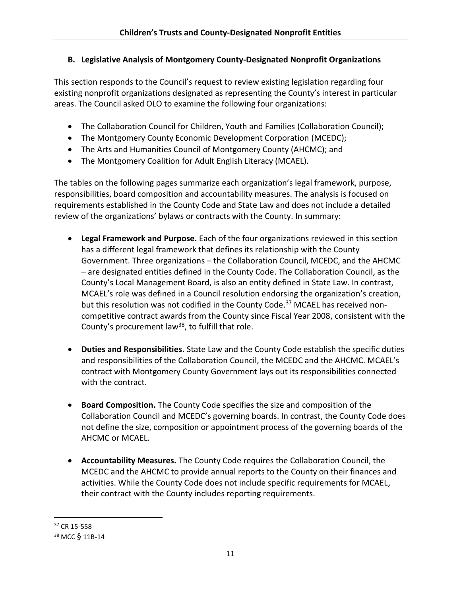## **B. Legislative Analysis of Montgomery County-Designated Nonprofit Organizations**

This section responds to the Council's request to review existing legislation regarding four existing nonprofit organizations designated as representing the County's interest in particular areas. The Council asked OLO to examine the following four organizations:

- The Collaboration Council for Children, Youth and Families (Collaboration Council);
- The Montgomery County Economic Development Corporation (MCEDC);
- The Arts and Humanities Council of Montgomery County (AHCMC); and
- The Montgomery Coalition for Adult English Literacy (MCAEL).

The tables on the following pages summarize each organization's legal framework, purpose, responsibilities, board composition and accountability measures. The analysis is focused on requirements established in the County Code and State Law and does not include a detailed review of the organizations' bylaws or contracts with the County. In summary:

- **Legal Framework and Purpose.** Each of the four organizations reviewed in this section has a different legal framework that defines its relationship with the County Government. Three organizations – the Collaboration Council, MCEDC, and the AHCMC – are designated entities defined in the County Code. The Collaboration Council, as the County's Local Management Board, is also an entity defined in State Law. In contrast, MCAEL's role was defined in a Council resolution endorsing the organization's creation, but this resolution was not codified in the County Code.<sup>37</sup> MCAEL has received noncompetitive contract awards from the County since Fiscal Year 2008, consistent with the County's procurement law<sup>38</sup>, to fulfill that role.
- **Duties and Responsibilities.** State Law and the County Code establish the specific duties and responsibilities of the Collaboration Council, the MCEDC and the AHCMC. MCAEL's contract with Montgomery County Government lays out its responsibilities connected with the contract.
- **Board Composition.** The County Code specifies the size and composition of the Collaboration Council and MCEDC's governing boards. In contrast, the County Code does not define the size, composition or appointment process of the governing boards of the AHCMC or MCAEL.
- **Accountability Measures.** The County Code requires the Collaboration Council, the MCEDC and the AHCMC to provide annual reports to the County on their finances and activities. While the County Code does not include specific requirements for MCAEL, their contract with the County includes reporting requirements.

<sup>37</sup> CR 15-558

<sup>38</sup> MCC § 11B-14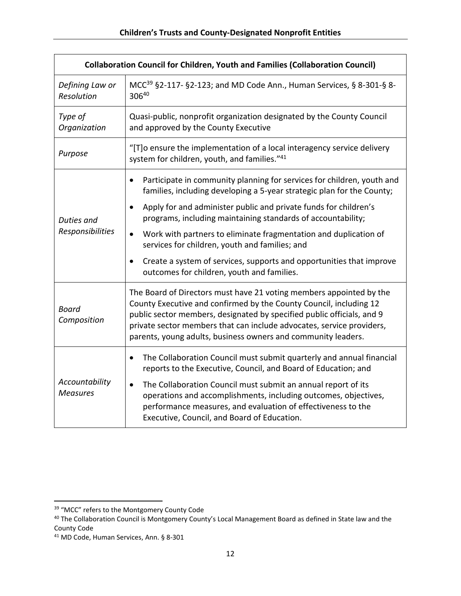| <b>Collaboration Council for Children, Youth and Families (Collaboration Council)</b> |                                                                                                                                                                                                                                                                                                                                                               |  |  |
|---------------------------------------------------------------------------------------|---------------------------------------------------------------------------------------------------------------------------------------------------------------------------------------------------------------------------------------------------------------------------------------------------------------------------------------------------------------|--|--|
| Defining Law or<br>Resolution                                                         | MCC <sup>39</sup> §2-117- §2-123; and MD Code Ann., Human Services, § 8-301-§ 8-<br>30640                                                                                                                                                                                                                                                                     |  |  |
| Type of<br>Organization                                                               | Quasi-public, nonprofit organization designated by the County Council<br>and approved by the County Executive                                                                                                                                                                                                                                                 |  |  |
| Purpose                                                                               | "[T]o ensure the implementation of a local interagency service delivery<br>system for children, youth, and families."41                                                                                                                                                                                                                                       |  |  |
|                                                                                       | Participate in community planning for services for children, youth and<br>$\bullet$<br>families, including developing a 5-year strategic plan for the County;                                                                                                                                                                                                 |  |  |
| Duties and                                                                            | Apply for and administer public and private funds for children's<br>$\bullet$<br>programs, including maintaining standards of accountability;                                                                                                                                                                                                                 |  |  |
| Responsibilities                                                                      | Work with partners to eliminate fragmentation and duplication of<br>$\bullet$<br>services for children, youth and families; and                                                                                                                                                                                                                               |  |  |
|                                                                                       | Create a system of services, supports and opportunities that improve<br>$\bullet$<br>outcomes for children, youth and families.                                                                                                                                                                                                                               |  |  |
| <b>Board</b><br>Composition                                                           | The Board of Directors must have 21 voting members appointed by the<br>County Executive and confirmed by the County Council, including 12<br>public sector members, designated by specified public officials, and 9<br>private sector members that can include advocates, service providers,<br>parents, young adults, business owners and community leaders. |  |  |
|                                                                                       | The Collaboration Council must submit quarterly and annual financial<br>$\bullet$<br>reports to the Executive, Council, and Board of Education; and                                                                                                                                                                                                           |  |  |
| Accountability<br><b>Measures</b>                                                     | The Collaboration Council must submit an annual report of its<br>$\bullet$<br>operations and accomplishments, including outcomes, objectives,<br>performance measures, and evaluation of effectiveness to the<br>Executive, Council, and Board of Education.                                                                                                  |  |  |

<sup>&</sup>lt;sup>39</sup> "MCC" refers to the Montgomery County Code

<sup>40</sup> The Collaboration Council is Montgomery County's Local Management Board as defined in State law and the County Code

<sup>41</sup> MD Code, Human Services, Ann. § 8-301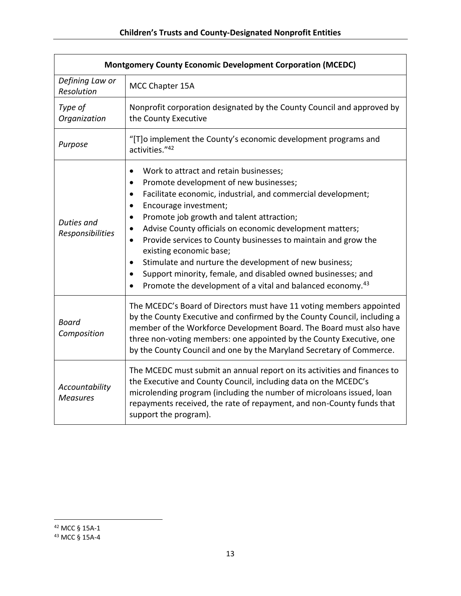| <b>Montgomery County Economic Development Corporation (MCEDC)</b> |                                                                                                                                                                                                                                                                                                                                                                                                                                                                                                                                                                                                                                                                                                               |  |
|-------------------------------------------------------------------|---------------------------------------------------------------------------------------------------------------------------------------------------------------------------------------------------------------------------------------------------------------------------------------------------------------------------------------------------------------------------------------------------------------------------------------------------------------------------------------------------------------------------------------------------------------------------------------------------------------------------------------------------------------------------------------------------------------|--|
| Defining Law or<br>Resolution                                     | MCC Chapter 15A                                                                                                                                                                                                                                                                                                                                                                                                                                                                                                                                                                                                                                                                                               |  |
| Type of<br>Organization                                           | Nonprofit corporation designated by the County Council and approved by<br>the County Executive                                                                                                                                                                                                                                                                                                                                                                                                                                                                                                                                                                                                                |  |
| Purpose                                                           | "[T]o implement the County's economic development programs and<br>activities."42                                                                                                                                                                                                                                                                                                                                                                                                                                                                                                                                                                                                                              |  |
| Duties and<br>Responsibilities                                    | Work to attract and retain businesses;<br>$\bullet$<br>Promote development of new businesses;<br>$\bullet$<br>Facilitate economic, industrial, and commercial development;<br>$\bullet$<br>Encourage investment;<br>$\bullet$<br>Promote job growth and talent attraction;<br>$\bullet$<br>Advise County officials on economic development matters;<br>$\bullet$<br>Provide services to County businesses to maintain and grow the<br>$\bullet$<br>existing economic base;<br>Stimulate and nurture the development of new business;<br>$\bullet$<br>Support minority, female, and disabled owned businesses; and<br>٠<br>Promote the development of a vital and balanced economy. <sup>43</sup><br>$\bullet$ |  |
| <b>Board</b><br>Composition                                       | The MCEDC's Board of Directors must have 11 voting members appointed<br>by the County Executive and confirmed by the County Council, including a<br>member of the Workforce Development Board. The Board must also have<br>three non-voting members: one appointed by the County Executive, one<br>by the County Council and one by the Maryland Secretary of Commerce.                                                                                                                                                                                                                                                                                                                                       |  |
| Accountability<br><b>Measures</b>                                 | The MCEDC must submit an annual report on its activities and finances to<br>the Executive and County Council, including data on the MCEDC's<br>microlending program (including the number of microloans issued, loan<br>repayments received, the rate of repayment, and non-County funds that<br>support the program).                                                                                                                                                                                                                                                                                                                                                                                        |  |

<sup>43</sup> MCC § 15A-4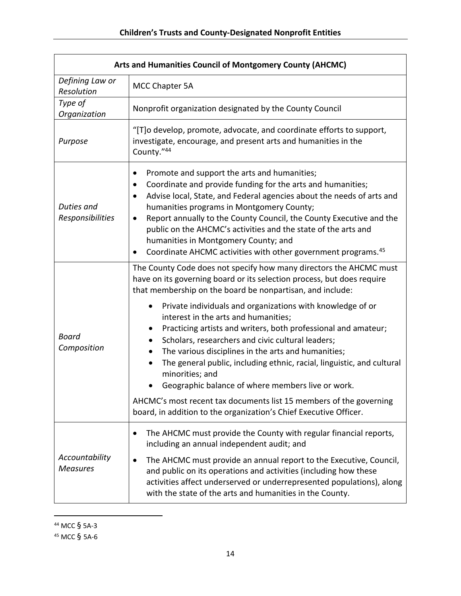| Arts and Humanities Council of Montgomery County (AHCMC) |                                                                                                                                                                                                                                                                                                                                                                                                                                                                                                      |  |
|----------------------------------------------------------|------------------------------------------------------------------------------------------------------------------------------------------------------------------------------------------------------------------------------------------------------------------------------------------------------------------------------------------------------------------------------------------------------------------------------------------------------------------------------------------------------|--|
| Defining Law or<br>Resolution                            | MCC Chapter 5A                                                                                                                                                                                                                                                                                                                                                                                                                                                                                       |  |
| Type of<br>Organization                                  | Nonprofit organization designated by the County Council                                                                                                                                                                                                                                                                                                                                                                                                                                              |  |
| Purpose                                                  | "[T] o develop, promote, advocate, and coordinate efforts to support,<br>investigate, encourage, and present arts and humanities in the<br>County."44                                                                                                                                                                                                                                                                                                                                                |  |
| Duties and<br>Responsibilities                           | Promote and support the arts and humanities;<br>Coordinate and provide funding for the arts and humanities;<br>Advise local, State, and Federal agencies about the needs of arts and<br>humanities programs in Montgomery County;<br>Report annually to the County Council, the County Executive and the<br>٠<br>public on the AHCMC's activities and the state of the arts and<br>humanities in Montgomery County; and<br>Coordinate AHCMC activities with other government programs. <sup>45</sup> |  |
|                                                          | The County Code does not specify how many directors the AHCMC must<br>have on its governing board or its selection process, but does require<br>that membership on the board be nonpartisan, and include:                                                                                                                                                                                                                                                                                            |  |
| <b>Board</b><br>Composition                              | Private individuals and organizations with knowledge of or<br>$\bullet$<br>interest in the arts and humanities;<br>Practicing artists and writers, both professional and amateur;<br>Scholars, researchers and civic cultural leaders;<br>The various disciplines in the arts and humanities;<br>$\bullet$<br>The general public, including ethnic, racial, linguistic, and cultural<br>$\bullet$<br>minorities; and<br>Geographic balance of where members live or work.                            |  |
|                                                          | AHCMC's most recent tax documents list 15 members of the governing<br>board, in addition to the organization's Chief Executive Officer.                                                                                                                                                                                                                                                                                                                                                              |  |
|                                                          | The AHCMC must provide the County with regular financial reports,<br>including an annual independent audit; and                                                                                                                                                                                                                                                                                                                                                                                      |  |
| Accountability<br><b>Measures</b>                        | The AHCMC must provide an annual report to the Executive, Council,<br>and public on its operations and activities (including how these<br>activities affect underserved or underrepresented populations), along<br>with the state of the arts and humanities in the County.                                                                                                                                                                                                                          |  |